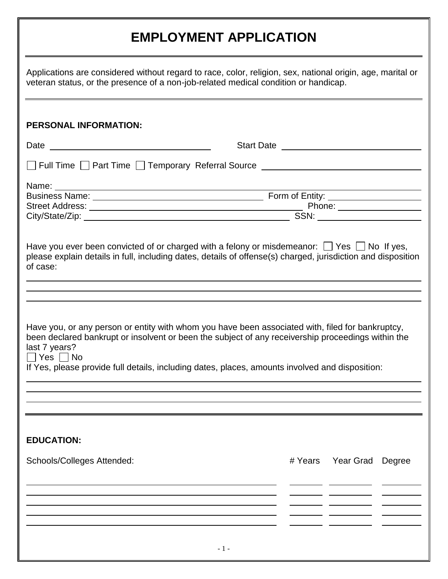## **EMPLOYMENT APPLICATION**

| Applications are considered without regard to race, color, religion, sex, national origin, age, marital or<br>veteran status, or the presence of a non-job-related medical condition or handicap.                                   |  |                          |  |  |
|-------------------------------------------------------------------------------------------------------------------------------------------------------------------------------------------------------------------------------------|--|--------------------------|--|--|
| <b>PERSONAL INFORMATION:</b>                                                                                                                                                                                                        |  |                          |  |  |
|                                                                                                                                                                                                                                     |  |                          |  |  |
| Full Time Deart Time Deamporary Referral Source Deamporary Referral Source Deam And Time Deam Annual Account L                                                                                                                      |  |                          |  |  |
| Name: Name:                                                                                                                                                                                                                         |  |                          |  |  |
|                                                                                                                                                                                                                                     |  |                          |  |  |
|                                                                                                                                                                                                                                     |  |                          |  |  |
| of case:<br>Have you, or any person or entity with whom you have been associated with, filed for bankruptcy,<br>been declared bankrupt or insolvent or been the subject of any receivership proceedings within the<br>last 7 years? |  |                          |  |  |
| $\Box$ Yes $\Box$ No<br>If Yes, please provide full details, including dates, places, amounts involved and disposition:                                                                                                             |  |                          |  |  |
|                                                                                                                                                                                                                                     |  |                          |  |  |
| <b>EDUCATION:</b>                                                                                                                                                                                                                   |  |                          |  |  |
| Schools/Colleges Attended:                                                                                                                                                                                                          |  | # Years Year Grad Degree |  |  |
|                                                                                                                                                                                                                                     |  |                          |  |  |
|                                                                                                                                                                                                                                     |  |                          |  |  |
|                                                                                                                                                                                                                                     |  |                          |  |  |
| $-1-$                                                                                                                                                                                                                               |  |                          |  |  |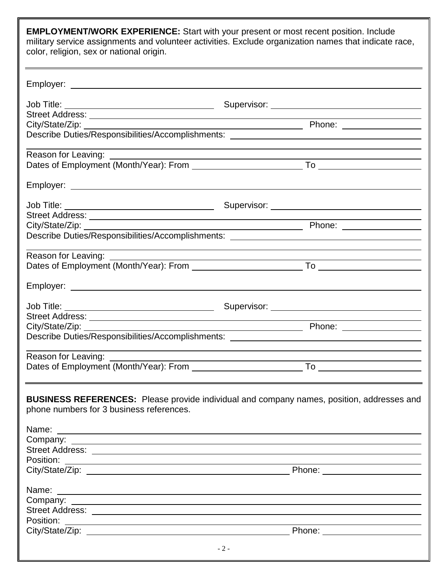**EMPLOYMENT/WORK EXPERIENCE:** Start with your present or most recent position. Include military service assignments and volunteer activities. Exclude organization names that indicate race, color, religion, sex or national origin.

|                                          | Describe Duties/Responsibilities/Accomplishments: ______________________________          |
|------------------------------------------|-------------------------------------------------------------------------------------------|
|                                          |                                                                                           |
|                                          |                                                                                           |
|                                          |                                                                                           |
|                                          |                                                                                           |
|                                          |                                                                                           |
|                                          |                                                                                           |
|                                          | Describe Duties/Responsibilities/Accomplishments: ______________________________          |
|                                          |                                                                                           |
|                                          |                                                                                           |
|                                          |                                                                                           |
|                                          |                                                                                           |
|                                          |                                                                                           |
| City/State/Zip:                          |                                                                                           |
|                                          | Describe Duties/Responsibilities/Accomplishments: ______________________________          |
|                                          | <u> 1989 - Johann Stoff, amerikansk politiker (* 1908)</u>                                |
|                                          |                                                                                           |
| phone numbers for 3 business references. | BUSINESS REFERENCES: Please provide individual and company names, position, addresses and |
|                                          |                                                                                           |
|                                          |                                                                                           |
|                                          |                                                                                           |
|                                          |                                                                                           |
|                                          | Phone: ______________________                                                             |
|                                          |                                                                                           |
|                                          |                                                                                           |
|                                          |                                                                                           |
|                                          |                                                                                           |
| Position:                                |                                                                                           |
|                                          |                                                                                           |
|                                          | $-2-$                                                                                     |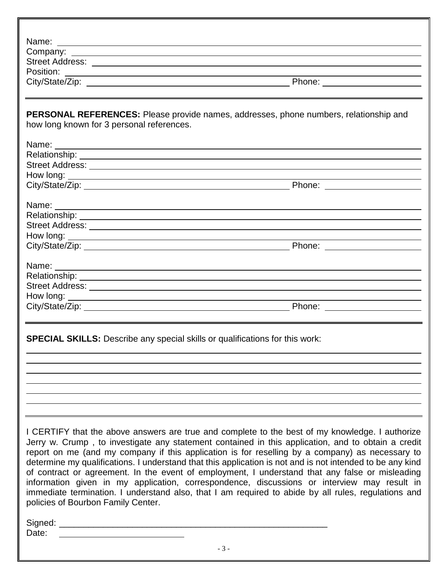| PERSONAL REFERENCES: Please provide names, addresses, phone numbers, relationship and<br>how long known for 3 personal references.<br>Phone: _________________________<br>How long: <u>example and the contract of the contract of the contract of the contract of the contract of the contract of the contract of the contract of the contract of the contract of the contract of the contract of the con</u><br><b>SPECIAL SKILLS:</b> Describe any special skills or qualifications for this work:<br>I CERTIFY that the above answers are true and complete to the best of my knowledge. I authorize |  |
|----------------------------------------------------------------------------------------------------------------------------------------------------------------------------------------------------------------------------------------------------------------------------------------------------------------------------------------------------------------------------------------------------------------------------------------------------------------------------------------------------------------------------------------------------------------------------------------------------------|--|
|                                                                                                                                                                                                                                                                                                                                                                                                                                                                                                                                                                                                          |  |
|                                                                                                                                                                                                                                                                                                                                                                                                                                                                                                                                                                                                          |  |
|                                                                                                                                                                                                                                                                                                                                                                                                                                                                                                                                                                                                          |  |
|                                                                                                                                                                                                                                                                                                                                                                                                                                                                                                                                                                                                          |  |
|                                                                                                                                                                                                                                                                                                                                                                                                                                                                                                                                                                                                          |  |
|                                                                                                                                                                                                                                                                                                                                                                                                                                                                                                                                                                                                          |  |
|                                                                                                                                                                                                                                                                                                                                                                                                                                                                                                                                                                                                          |  |
|                                                                                                                                                                                                                                                                                                                                                                                                                                                                                                                                                                                                          |  |
|                                                                                                                                                                                                                                                                                                                                                                                                                                                                                                                                                                                                          |  |
|                                                                                                                                                                                                                                                                                                                                                                                                                                                                                                                                                                                                          |  |
|                                                                                                                                                                                                                                                                                                                                                                                                                                                                                                                                                                                                          |  |
|                                                                                                                                                                                                                                                                                                                                                                                                                                                                                                                                                                                                          |  |
|                                                                                                                                                                                                                                                                                                                                                                                                                                                                                                                                                                                                          |  |
|                                                                                                                                                                                                                                                                                                                                                                                                                                                                                                                                                                                                          |  |
|                                                                                                                                                                                                                                                                                                                                                                                                                                                                                                                                                                                                          |  |
|                                                                                                                                                                                                                                                                                                                                                                                                                                                                                                                                                                                                          |  |
|                                                                                                                                                                                                                                                                                                                                                                                                                                                                                                                                                                                                          |  |
|                                                                                                                                                                                                                                                                                                                                                                                                                                                                                                                                                                                                          |  |
|                                                                                                                                                                                                                                                                                                                                                                                                                                                                                                                                                                                                          |  |
|                                                                                                                                                                                                                                                                                                                                                                                                                                                                                                                                                                                                          |  |
|                                                                                                                                                                                                                                                                                                                                                                                                                                                                                                                                                                                                          |  |
|                                                                                                                                                                                                                                                                                                                                                                                                                                                                                                                                                                                                          |  |
|                                                                                                                                                                                                                                                                                                                                                                                                                                                                                                                                                                                                          |  |
|                                                                                                                                                                                                                                                                                                                                                                                                                                                                                                                                                                                                          |  |
|                                                                                                                                                                                                                                                                                                                                                                                                                                                                                                                                                                                                          |  |
|                                                                                                                                                                                                                                                                                                                                                                                                                                                                                                                                                                                                          |  |
|                                                                                                                                                                                                                                                                                                                                                                                                                                                                                                                                                                                                          |  |
|                                                                                                                                                                                                                                                                                                                                                                                                                                                                                                                                                                                                          |  |
|                                                                                                                                                                                                                                                                                                                                                                                                                                                                                                                                                                                                          |  |
|                                                                                                                                                                                                                                                                                                                                                                                                                                                                                                                                                                                                          |  |
|                                                                                                                                                                                                                                                                                                                                                                                                                                                                                                                                                                                                          |  |

Jerry w. Crump , to investigate any statement contained in this application, and to obtain a credit report on me (and my company if this application is for reselling by a company) as necessary to determine my qualifications. I understand that this application is not and is not intended to be any kind of contract or agreement. In the event of employment, I understand that any false or misleading information given in my application, correspondence, discussions or interview may result in immediate termination. I understand also, that I am required to abide by all rules, regulations and policies of Bourbon Family Center.

Signed: \_\_\_\_\_\_\_\_\_\_\_\_\_\_\_\_\_\_\_\_\_\_\_\_\_\_\_\_\_\_\_\_\_\_\_\_\_\_\_\_\_\_\_\_\_\_\_\_\_\_\_\_\_\_\_

Date: